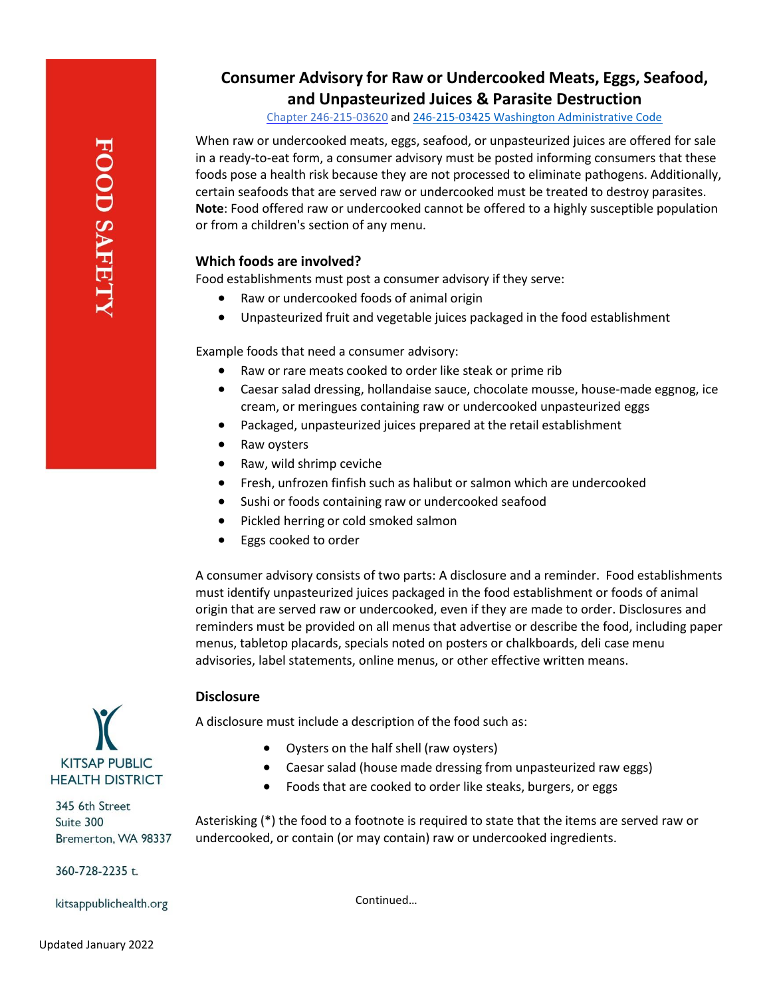# **Consumer Advisory for Raw or Undercooked Meats, Eggs, Seafood, and Unpasteurized Juices & Parasite Destruction**

Chapter [246-215-03620](file://///kphd-file/Users/forteh/Custom%20Office%20Templates) and [246-215-03425 Washington Administrative Code](https://app.leg.wa.gov/wac/default.aspx?cite=246-215-03425)

When raw or undercooked meats, eggs, seafood, or unpasteurized juices are offered for sale in a ready-to-eat form, a consumer advisory must be posted informing consumers that these foods pose a health risk because they are not processed to eliminate pathogens. Additionally, certain seafoods that are served raw or undercooked must be treated to destroy parasites. **Note**: Food offered raw or undercooked cannot be offered to a highly susceptible population or from a children's section of any menu.

# **Which foods are involved?**

Food establishments must post a consumer advisory if they serve:

- Raw or undercooked foods of animal origin
- Unpasteurized fruit and vegetable juices packaged in the food establishment

Example foods that need a consumer advisory:

- Raw or rare meats cooked to order like steak or prime rib
- Caesar salad dressing, hollandaise sauce, chocolate mousse, house-made eggnog, ice cream, or meringues containing raw or undercooked unpasteurized eggs
- Packaged, unpasteurized juices prepared at the retail establishment
- Raw oysters
- Raw, wild shrimp ceviche
- Fresh, unfrozen finfish such as halibut or salmon which are undercooked
- Sushi or foods containing raw or undercooked seafood
- Pickled herring or cold smoked salmon
- Eggs cooked to order

A consumer advisory consists of two parts: A disclosure and a reminder. Food establishments must identify unpasteurized juices packaged in the food establishment or foods of animal origin that are served raw or undercooked, even if they are made to order. Disclosures and reminders must be provided on all menus that advertise or describe the food, including paper menus, tabletop placards, specials noted on posters or chalkboards, deli case menu advisories, label statements, online menus, or other effective written means.

# **Disclosure**

A disclosure must include a description of the food such as:

- Oysters on the half shell (raw oysters)
- Caesar salad (house made dressing from unpasteurized raw eggs)
- Foods that are cooked to order like steaks, burgers, or eggs

Asterisking (\*) the food to a footnote is required to state that the items are served raw or undercooked, or contain (or may contain) raw or undercooked ingredients.

Continued…



345 6th Street Suite 300 Bremerton, WA 98337

360-728-2235 t.

kitsappublichealth.org